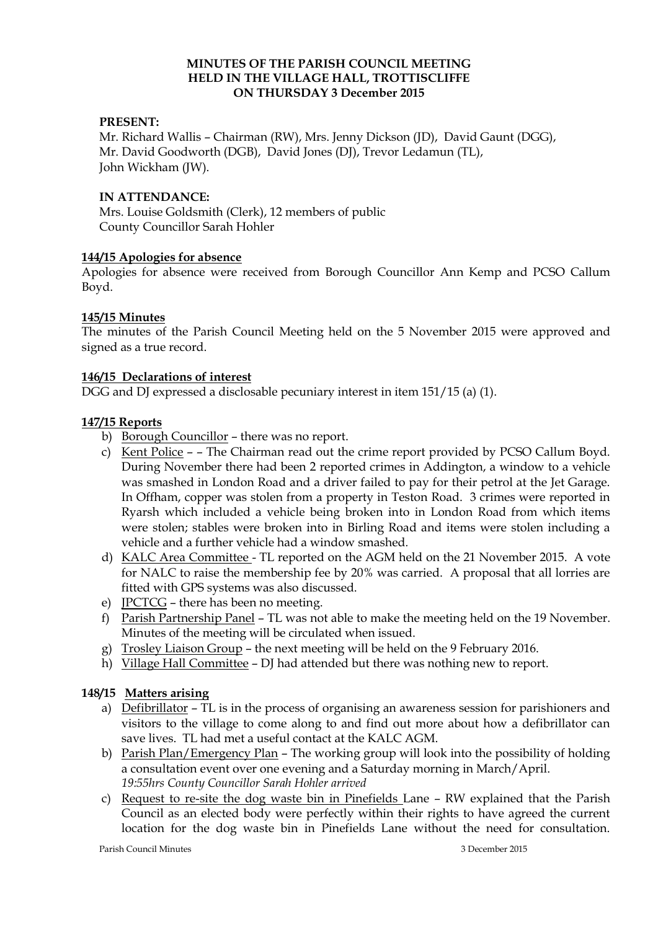### **MINUTES OF THE PARISH COUNCIL MEETING HELD IN THE VILLAGE HALL, TROTTISCLIFFE ON THURSDAY 3 December 2015**

### **PRESENT:**

Mr. Richard Wallis – Chairman (RW), Mrs. Jenny Dickson (JD), David Gaunt (DGG), Mr. David Goodworth (DGB), David Jones (DJ), Trevor Ledamun (TL), John Wickham (JW).

### **IN ATTENDANCE:**

Mrs. Louise Goldsmith (Clerk), 12 members of public County Councillor Sarah Hohler

### **144/15 Apologies for absence**

Apologies for absence were received from Borough Councillor Ann Kemp and PCSO Callum Boyd.

### **145/15 Minutes**

The minutes of the Parish Council Meeting held on the 5 November 2015 were approved and signed as a true record.

### **146/15 Declarations of interest**

DGG and DJ expressed a disclosable pecuniary interest in item 151/15 (a) (1).

## **147/15 Reports**

- b) Borough Councillor there was no report.
- c) Kent Police - The Chairman read out the crime report provided by PCSO Callum Boyd. During November there had been 2 reported crimes in Addington, a window to a vehicle was smashed in London Road and a driver failed to pay for their petrol at the Jet Garage. In Offham, copper was stolen from a property in Teston Road. 3 crimes were reported in Ryarsh which included a vehicle being broken into in London Road from which items were stolen; stables were broken into in Birling Road and items were stolen including a vehicle and a further vehicle had a window smashed*.*
- d) KALC Area Committee TL reported on the AGM held on the 21 November 2015. A vote for NALC to raise the membership fee by 20% was carried. A proposal that all lorries are fitted with GPS systems was also discussed.
- e) JPCTCG there has been no meeting.
- f) Parish Partnership Panel TL was not able to make the meeting held on the 19 November. Minutes of the meeting will be circulated when issued.
- g) Trosley Liaison Group the next meeting will be held on the 9 February 2016.
- h) Village Hall Committee DJ had attended but there was nothing new to report.

# **148/15 Matters arising**

- a) Defibrillator TL is in the process of organising an awareness session for parishioners and visitors to the village to come along to and find out more about how a defibrillator can save lives. TL had met a useful contact at the KALC AGM.
- b) Parish Plan/Emergency Plan The working group will look into the possibility of holding a consultation event over one evening and a Saturday morning in March/April. *19:55hrs County Councillor Sarah Hohler arrived*
- c) Request to re-site the dog waste bin in Pinefields Lane RW explained that the Parish Council as an elected body were perfectly within their rights to have agreed the current location for the dog waste bin in Pinefields Lane without the need for consultation.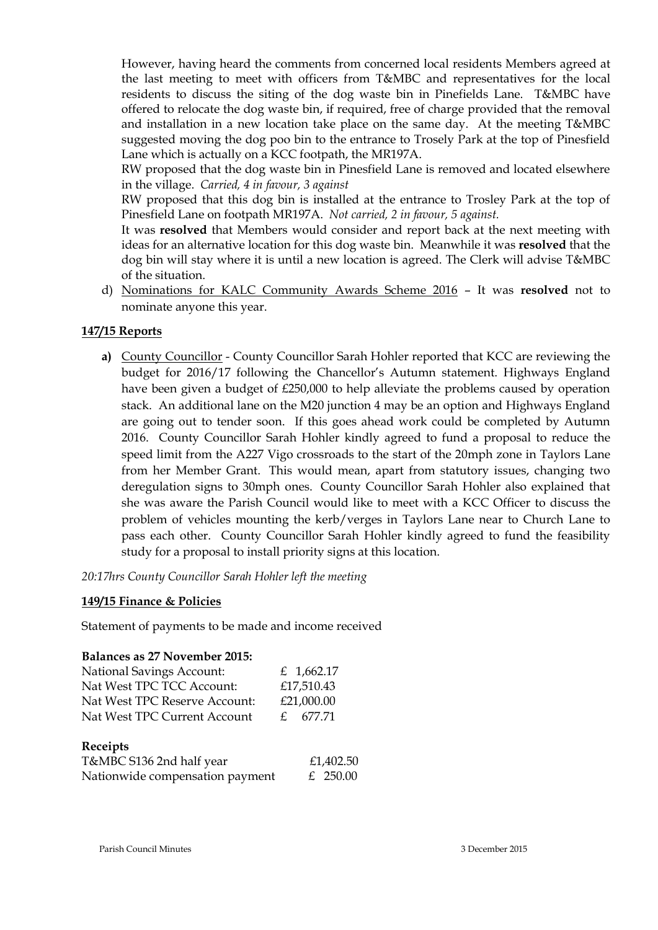However, having heard the comments from concerned local residents Members agreed at the last meeting to meet with officers from T&MBC and representatives for the local residents to discuss the siting of the dog waste bin in Pinefields Lane. T&MBC have offered to relocate the dog waste bin, if required, free of charge provided that the removal and installation in a new location take place on the same day. At the meeting T&MBC suggested moving the dog poo bin to the entrance to Trosely Park at the top of Pinesfield Lane which is actually on a KCC footpath, the MR197A.

RW proposed that the dog waste bin in Pinesfield Lane is removed and located elsewhere in the village. *Carried, 4 in favour, 3 against*

RW proposed that this dog bin is installed at the entrance to Trosley Park at the top of Pinesfield Lane on footpath MR197A. *Not carried, 2 in favour, 5 against.*

It was **resolved** that Members would consider and report back at the next meeting with ideas for an alternative location for this dog waste bin. Meanwhile it was **resolved** that the dog bin will stay where it is until a new location is agreed. The Clerk will advise T&MBC of the situation.

d) Nominations for KALC Community Awards Scheme 2016 – It was **resolved** not to nominate anyone this year.

# **147/15 Reports**

**a)** County Councillor - County Councillor Sarah Hohler reported that KCC are reviewing the budget for 2016/17 following the Chancellor's Autumn statement. Highways England have been given a budget of £250,000 to help alleviate the problems caused by operation stack. An additional lane on the M20 junction 4 may be an option and Highways England are going out to tender soon. If this goes ahead work could be completed by Autumn 2016. County Councillor Sarah Hohler kindly agreed to fund a proposal to reduce the speed limit from the A227 Vigo crossroads to the start of the 20mph zone in Taylors Lane from her Member Grant. This would mean, apart from statutory issues, changing two deregulation signs to 30mph ones. County Councillor Sarah Hohler also explained that she was aware the Parish Council would like to meet with a KCC Officer to discuss the problem of vehicles mounting the kerb/verges in Taylors Lane near to Church Lane to pass each other. County Councillor Sarah Hohler kindly agreed to fund the feasibility study for a proposal to install priority signs at this location.

*20:17hrs County Councillor Sarah Hohler left the meeting* 

## **149/15 Finance & Policies**

Statement of payments to be made and income received

#### **Balances as 27 November 2015:**

| <b>National Savings Account:</b> | £ 1,662.17 |
|----------------------------------|------------|
| Nat West TPC TCC Account:        | £17,510.43 |
| Nat West TPC Reserve Account:    | £21,000.00 |
| Nat West TPC Current Account     | f. 677.71  |
|                                  |            |

### **Receipts**  T&MBC S136 2nd half year *£1,402.50* Nationwide compensation payment  $E$  250.00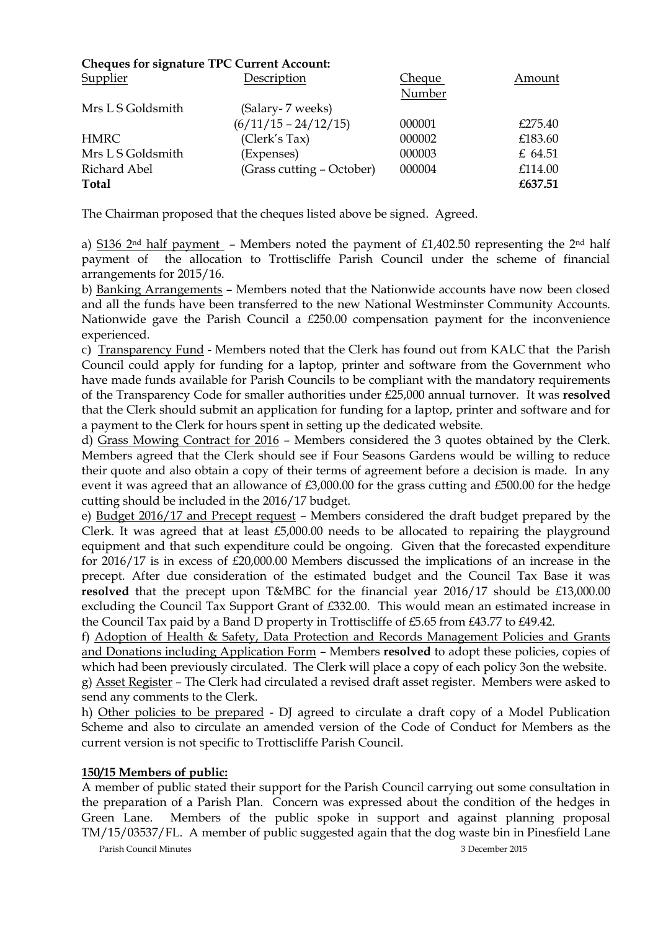# **Cheques for signature TPC Current Account:**

| Supplier          | Description               | Cheque | Amount  |
|-------------------|---------------------------|--------|---------|
|                   |                           | Number |         |
| Mrs L S Goldsmith | (Salary-7 weeks)          |        |         |
|                   | $(6/11/15 - 24/12/15)$    | 000001 | £275.40 |
| <b>HMRC</b>       | (Clerk's Tax)             | 000002 | £183.60 |
| Mrs L S Goldsmith | (Expenses)                | 000003 | £ 64.51 |
| Richard Abel      | (Grass cutting – October) | 000004 | £114.00 |
| Total             |                           |        | £637.51 |
|                   |                           |        |         |

The Chairman proposed that the cheques listed above be signed. Agreed.

a) S136 2<sup>nd</sup> half payment – Members noted the payment of £1,402.50 representing the 2<sup>nd</sup> half payment of the allocation to Trottiscliffe Parish Council under the scheme of financial arrangements for 2015/16.

b) Banking Arrangements – Members noted that the Nationwide accounts have now been closed and all the funds have been transferred to the new National Westminster Community Accounts. Nationwide gave the Parish Council a £250.00 compensation payment for the inconvenience experienced.

c) Transparency Fund - Members noted that the Clerk has found out from KALC that the Parish Council could apply for funding for a laptop, printer and software from the Government who have made funds available for Parish Councils to be compliant with the mandatory requirements of the Transparency Code for smaller authorities under £25,000 annual turnover. It was **resolved**  that the Clerk should submit an application for funding for a laptop, printer and software and for a payment to the Clerk for hours spent in setting up the dedicated website.

d) Grass Mowing Contract for 2016 – Members considered the 3 quotes obtained by the Clerk. Members agreed that the Clerk should see if Four Seasons Gardens would be willing to reduce their quote and also obtain a copy of their terms of agreement before a decision is made. In any event it was agreed that an allowance of £3,000.00 for the grass cutting and £500.00 for the hedge cutting should be included in the 2016/17 budget.

e) Budget 2016/17 and Precept request – Members considered the draft budget prepared by the Clerk. It was agreed that at least £5,000.00 needs to be allocated to repairing the playground equipment and that such expenditure could be ongoing. Given that the forecasted expenditure for 2016/17 is in excess of £20,000.00 Members discussed the implications of an increase in the precept. After due consideration of the estimated budget and the Council Tax Base it was **resolved** that the precept upon T&MBC for the financial year 2016/17 should be £13,000.00 excluding the Council Tax Support Grant of £332.00. This would mean an estimated increase in the Council Tax paid by a Band D property in Trottiscliffe of £5.65 from £43.77 to £49.42.

f) Adoption of Health & Safety, Data Protection and Records Management Policies and Grants and Donations including Application Form – Members **resolved** to adopt these policies, copies of which had been previously circulated. The Clerk will place a copy of each policy 3on the website. g) Asset Register – The Clerk had circulated a revised draft asset register. Members were asked to

send any comments to the Clerk.

h) Other policies to be prepared - DJ agreed to circulate a draft copy of a Model Publication Scheme and also to circulate an amended version of the Code of Conduct for Members as the current version is not specific to Trottiscliffe Parish Council.

## **150/15 Members of public:**

A member of public stated their support for the Parish Council carrying out some consultation in the preparation of a Parish Plan. Concern was expressed about the condition of the hedges in Green Lane. Members of the public spoke in support and against planning proposal TM/15/03537/FL. A member of public suggested again that the dog waste bin in Pinesfield Lane

Parish Council Minutes 3 December 2015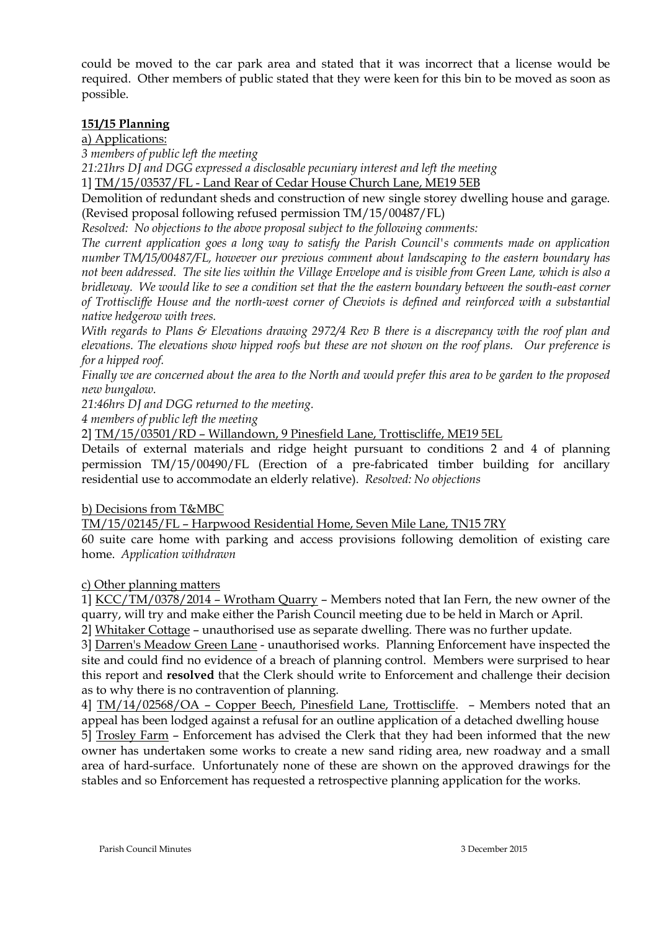could be moved to the car park area and stated that it was incorrect that a license would be required. Other members of public stated that they were keen for this bin to be moved as soon as possible.

# **151/15 Planning**

a) Applications:

*3 members of public left the meeting*

*21:21hrs DJ and DGG expressed a disclosable pecuniary interest and left the meeting* 

1] TM/15/03537/FL - Land Rear of Cedar House Church Lane, ME19 5EB

Demolition of redundant sheds and construction of new single storey dwelling house and garage. (Revised proposal following refused permission TM/15/00487/FL)

*Resolved: No objections to the above proposal subject to the following comments:*

*The current application goes a long way to satisfy the Parish Council's comments made on application number TM/15/00487/FL, however our previous comment about landscaping to the eastern boundary has not been addressed. The site lies within the Village Envelope and is visible from Green Lane, which is also a bridleway. We would like to see a condition set that the the eastern boundary between the south-east corner of Trottiscliffe House and the north-west corner of Cheviots is defined and reinforced with a substantial native hedgerow with trees.*

*With regards to Plans & Elevations drawing 2972/4 Rev B there is a discrepancy with the roof plan and elevations. The elevations show hipped roofs but these are not shown on the roof plans. Our preference is for a hipped roof.*

*Finally we are concerned about the area to the North and would prefer this area to be garden to the proposed new bungalow.*

*21:46hrs DJ and DGG returned to the meeting.*

*4 members of public left the meeting* 

2] TM/15/03501/RD – Willandown, 9 Pinesfield Lane, Trottiscliffe, ME19 5EL

Details of external materials and ridge height pursuant to conditions 2 and 4 of planning permission TM/15/00490/FL (Erection of a pre-fabricated timber building for ancillary residential use to accommodate an elderly relative). *Resolved: No objections*

b) Decisions from T&MBC

TM/15/02145/FL – Harpwood Residential Home, Seven Mile Lane, TN15 7RY

60 suite care home with parking and access provisions following demolition of existing care home. *Application withdrawn*

c) Other planning matters

1] KCC/TM/0378/2014 – Wrotham Quarry – Members noted that Ian Fern, the new owner of the quarry, will try and make either the Parish Council meeting due to be held in March or April.

2] Whitaker Cottage – unauthorised use as separate dwelling. There was no further update.

3] Darren's Meadow Green Lane - unauthorised works. Planning Enforcement have inspected the site and could find no evidence of a breach of planning control. Members were surprised to hear this report and **resolved** that the Clerk should write to Enforcement and challenge their decision as to why there is no contravention of planning.

4] TM/14/02568/OA – Copper Beech, Pinesfield Lane, Trottiscliffe. – Members noted that an appeal has been lodged against a refusal for an outline application of a detached dwelling house 5] Trosley Farm – Enforcement has advised the Clerk that they had been informed that the new

owner has undertaken some works to create a new sand riding area, new roadway and a small area of hard-surface. Unfortunately none of these are shown on the approved drawings for the stables and so Enforcement has requested a retrospective planning application for the works.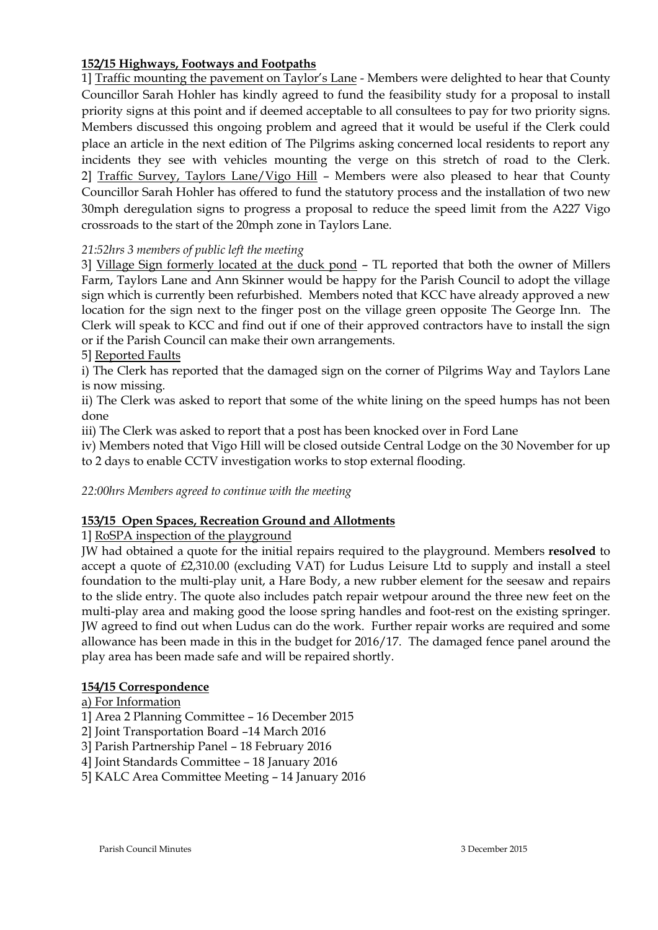# **152/15 Highways, Footways and Footpaths**

1] Traffic mounting the pavement on Taylor's Lane - Members were delighted to hear that County Councillor Sarah Hohler has kindly agreed to fund the feasibility study for a proposal to install priority signs at this point and if deemed acceptable to all consultees to pay for two priority signs. Members discussed this ongoing problem and agreed that it would be useful if the Clerk could place an article in the next edition of The Pilgrims asking concerned local residents to report any incidents they see with vehicles mounting the verge on this stretch of road to the Clerk. 2] Traffic Survey, Taylors Lane/Vigo Hill – Members were also pleased to hear that County Councillor Sarah Hohler has offered to fund the statutory process and the installation of two new 30mph deregulation signs to progress a proposal to reduce the speed limit from the A227 Vigo crossroads to the start of the 20mph zone in Taylors Lane.

# *21:52hrs 3 members of public left the meeting*

3] Village Sign formerly located at the duck pond – TL reported that both the owner of Millers Farm, Taylors Lane and Ann Skinner would be happy for the Parish Council to adopt the village sign which is currently been refurbished. Members noted that KCC have already approved a new location for the sign next to the finger post on the village green opposite The George Inn. The Clerk will speak to KCC and find out if one of their approved contractors have to install the sign or if the Parish Council can make their own arrangements.

5] Reported Faults

i) The Clerk has reported that the damaged sign on the corner of Pilgrims Way and Taylors Lane is now missing.

ii) The Clerk was asked to report that some of the white lining on the speed humps has not been done

iii) The Clerk was asked to report that a post has been knocked over in Ford Lane

iv) Members noted that Vigo Hill will be closed outside Central Lodge on the 30 November for up to 2 days to enable CCTV investigation works to stop external flooding.

*22:00hrs Members agreed to continue with the meeting* 

# **153/15 Open Spaces, Recreation Ground and Allotments**

1] RoSPA inspection of the playground

JW had obtained a quote for the initial repairs required to the playground. Members **resolved** to accept a quote of £2,310.00 (excluding VAT) for Ludus Leisure Ltd to supply and install a steel foundation to the multi-play unit, a Hare Body, a new rubber element for the seesaw and repairs to the slide entry. The quote also includes patch repair wetpour around the three new feet on the multi-play area and making good the loose spring handles and foot-rest on the existing springer. JW agreed to find out when Ludus can do the work. Further repair works are required and some allowance has been made in this in the budget for 2016/17. The damaged fence panel around the play area has been made safe and will be repaired shortly.

## **154/15 Correspondence**

## a) For Information

- 1] Area 2 Planning Committee 16 December 2015
- 2] Joint Transportation Board –14 March 2016
- 3] Parish Partnership Panel 18 February 2016
- 4] Joint Standards Committee 18 January 2016
- 5] KALC Area Committee Meeting 14 January 2016